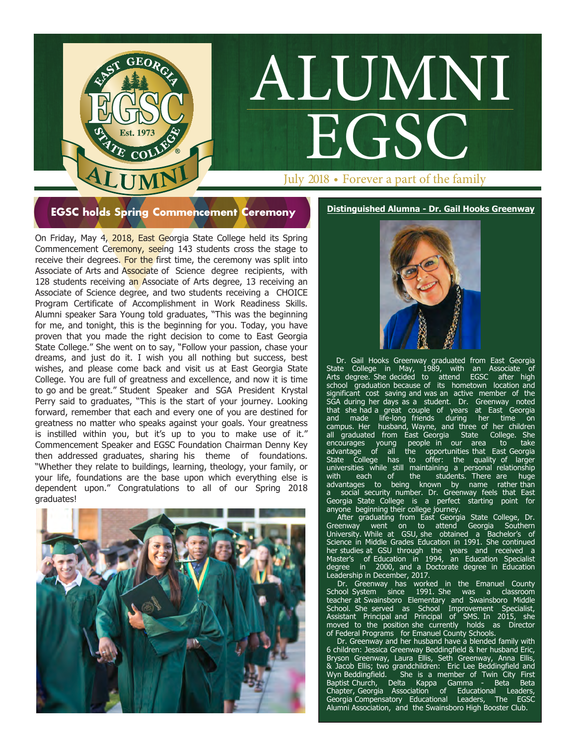July 2018 • Forever a part of the family

ALUMNI

EGSC

**EGSC holds Spring Commencement Ceremony <b>Distinguished Alumna** - Dr. Gail Hooks Greenway

GEOR

**EXAMPLE COLLAPSE COLLAPSE COLLAPSE COLLAPSE COLLAPSE COLLAPSE COLLAPSE COLLAPSE COLLAPSE COLLAPSE COLLAPSE COLLAPSE COLLAPSE COLLAPSE COLLAPSE COLLAPSE COLLAPSE COLLAPSE COLLAPSE COLLAPSE COLLAPSE COLLAPSE COLLAPSE COLLAP** On Friday, May 4, 2018, East Georgia State College held its Spring Commencement Ceremony, seeing 143 students cross the stage to receive their degrees. For the first time, the ceremony was split into Associate of Arts and Associate of Science degree recipients, with 128 students receiving an Associate of Arts degree, 13 receiving an Associate of Science degree, and two students receiving a CHOICE Program Certificate of Accomplishment in Work Readiness Skills. Alumni speaker Sara Young told graduates, "This was the beginning for me, and tonight, this is the beginning for you. Today, you have proven that you made the right decision to come to East Georgia State College." She went on to say, "Follow your passion, chase your dreams, and just do it. I wish you all nothing but success, best wishes, and please come back and visit us at East Georgia State College. You are full of greatness and excellence, and now it is time to go and be great." Student Speaker and SGA President Krystal Perry said to graduates, "This is the start of your journey. Looking forward, remember that each and every one of you are destined for greatness no matter who speaks against your goals. Your greatness is instilled within you, but it's up to you to make use of it." Commencement Speaker and EGSC Foundation Chairman Denny Key then addressed graduates, sharing his theme of foundations. "Whether they relate to buildings, learning, theology, your family, or your life, foundations are the base upon which everything else is dependent upon." Congratulations to all of our Spring 2018 graduates!





 Dr. Gail Hooks Greenway graduated from East Georgia State College in May, 1989, with an Associate of Arts degree. She decided to attend EGSC after high school graduation because of its hometown location and significant cost saving and was an active member of the SGA during her days as a student. Dr. Greenway noted that she had a great couple of years at East Georgia and made life-long friends during her time on campus. Her husband, Wayne, and three of her children all graduated from East Georgia State College. She encourages young people in our area to take advantage of all the opportunities that East Georgia State College has to offer: the quality of larger universities while still maintaining a personal relationship<br>with each of the students. There are huge with each of the students. There are huge advantages to being known by name rather than a social security number. Dr. Greenway feels that East Georgia State College is a perfect starting point for anyone beginning their college journey.

After graduating from East Georgia State College, Dr. Greenway went on to attend Georgia Southern University. While at GSU, she obtained a Bachelor's of Science in Middle Grades Education in 1991. She continued her studies at GSU through the years and received a Master's of Education in 1994, an Education Specialist degree in 2000, and a Doctorate degree in Education Leadership in December, 2017.

 Dr. Greenway has worked in the Emanuel County School System since 1991. She was a classroom teacher at Swainsboro Elementary and Swainsboro Middle School. She served as School Improvement Specialist, Assistant Principal and Principal of SMS. In 2015, she moved to the position she currently holds as Director of Federal Programs for Emanuel County Schools.

Dr. Greenway and her husband have a blended family with 6 children: Jessica Greenway Beddingfield & her husband Eric, Bryson Greenway, Laura Ellis, Seth Greenway, Anna Ellis, & Jacob Ellis; two grandchildren: Eric Lee Beddingfield and Wyn Beddingfield. She is a member of Twin City First Baptist Church, Delta Kappa Gamma - Beta Beta Chapter, Georgia Association of Educational Leaders, Georgia Compensatory Educational Leaders, The EGSC Alumni Association, and the Swainsboro High Booster Club.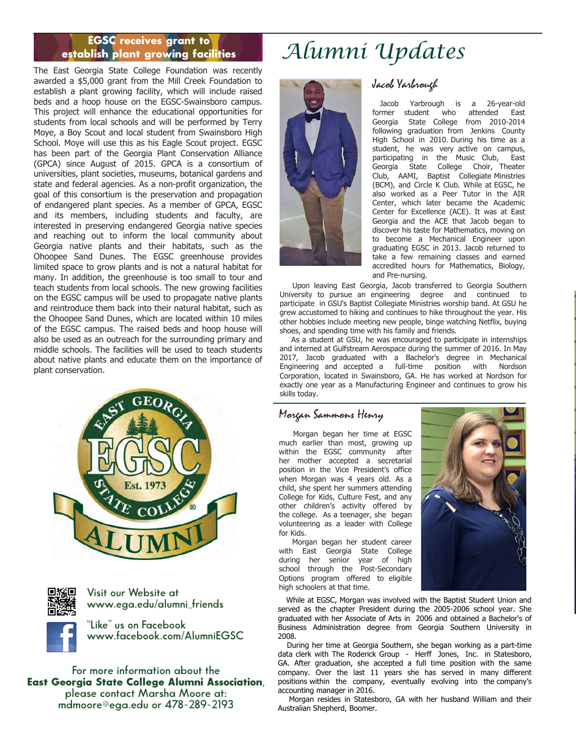#### EGSC receives grant to establish plant growing facilities

The East Georgia State College Foundation was recently awarded a \$5,000 grant from the Mill Creek Foundation to establish a plant growing facility, which will include raised beds and a hoop house on the EGSC-Swainsboro campus. This project will enhance the educational opportunities for students from local schools and will be performed by Terry Moye, a Boy Scout and local student from Swainsboro High School. Moye will use this as his Eagle Scout project. EGSC has been part of the Georgia Plant Conservation Alliance (GPCA) since August of 2015. GPCA is a consortium of universities, plant societies, museums, botanical gardens and state and federal agencies. As a non-profit organization, the goal of this consortium is the preservation and propagation of endangered plant species. As a member of GPCA, EGSC and its members, including students and faculty, are interested in preserving endangered Georgia native species and reaching out to inform the local community about Georgia native plants and their habitats, such as the Ohoopee Sand Dunes. The EGSC greenhouse provides limited space to grow plants and is not a natural habitat for many. In addition, the greenhouse is too small to tour and teach students from local schools. The new growing facilities on the EGSC campus will be used to propagate native plants and reintroduce them back into their natural habitat, such as the Ohoopee Sand Dunes, which are located within 10 miles of the EGSC campus. The raised beds and hoop house will also be used as an outreach for the surrounding primary and middle schools. The facilities will be used to teach students about native plants and educate them on the importance of plant conservation.





**Visit our Website at www.ega.edu/alumni\_friends**

**"Like" us on Facebook www.facebook.com/AlumniEGSC**



# *Alumni Updates*



## Jacob Yarbrough

 Jacob Yarbrough is a 26-year-old former student who attended East Georgia State College from 2010-2014 following graduation from Jenkins County High School in 2010. During his time as a student, he was very active on campus, participating in the Music Club, East Georgia State College Choir, Theater Club, AAMI, Baptist Collegiate Ministries (BCM), and Circle K Club. While at EGSC, he also worked as a Peer Tutor in the AIR Center, which later became the Academic Center for Excellence (ACE). It was at East Georgia and the ACE that Jacob began to discover his taste for Mathematics, moving on to become a Mechanical Engineer upon graduating EGSC in 2013. Jacob returned to take a few remaining classes and earned accredited hours for Mathematics, Biology, and Pre-nursing.

 Upon leaving East Georgia, Jacob transferred to Georgia Southern University to pursue an engineering degree and continued to participate in GSU's Baptist Collegiate Ministries worship band. At GSU he grew accustomed to hiking and continues to hike throughout the year. His other hobbies include meeting new people, binge watching Netflix, buying shoes, and spending time with his family and friends.

 As a student at GSU, he was encouraged to participate in internships and interned at Gulfstream Aerospace during the summer of 2016. In May 2017, Jacob graduated with a Bachelor's degree in Mechanical Engineering and accepted a full-time position with Nordson Corporation, located in Swainsboro, GA. He has worked at Nordson for exactly one year as a Manufacturing Engineer and continues to grow his skills today.

### Morgan Sammons Henry

 Morgan began her time at EGSC much earlier than most, growing up within the EGSC community after her mother accepted a secretarial position in the Vice President's office when Morgan was 4 years old. As a child, she spent her summers attending College for Kids, Culture Fest, and any other children's activity offered by the college. As a teenager, she began volunteering as a leader with College for Kids.

 Morgan began her student career with East Georgia State College during her senior year of high school through the Post-Secondary Options program offered to eligible high schoolers at that time.



 While at EGSC, Morgan was involved with the Baptist Student Union and served as the chapter President during the 2005-2006 school year. She graduated with her Associate of Arts in 2006 and obtained a Bachelor's of Business Administration degree from Georgia Southern University in 2008.

 During her time at Georgia Southern, she began working as a part-time data clerk with The Roderick Group - Herff Jones, Inc. in Statesboro, GA. After graduation, she accepted a full time position with the same company. Over the last 11 years she has served in many different positions within the company, eventually evolving into the company's accounting manager in 2016.

Morgan resides in Statesboro, GA with her husband William and their Australian Shepherd, Boomer.